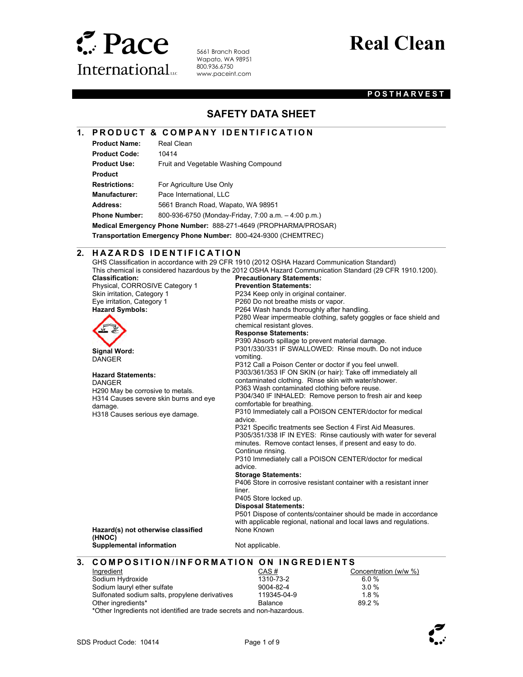

l

 $\overline{a}$ 

 $\overline{a}$ 

5661 Branch Road Wapato, WA 98951 800.936.6750 www.paceint.com

# **Real Clean**

#### **POSTHARVEST**

### **SAFETY DATA SHEET**

### **1. PRODUCT & COMPANY IDENTIFICATION**

| <b>Product Name:</b> | Real Clean                                                      |
|----------------------|-----------------------------------------------------------------|
| <b>Product Code:</b> | 10414                                                           |
| <b>Product Use:</b>  | Fruit and Vegetable Washing Compound                            |
| <b>Product</b>       |                                                                 |
| <b>Restrictions:</b> | For Agriculture Use Only                                        |
| <b>Manufacturer:</b> | Pace International, LLC                                         |
| Address:             | 5661 Branch Road, Wapato, WA 98951                              |
| <b>Phone Number:</b> | 800-936-6750 (Monday-Friday, 7:00 a.m. $-$ 4:00 p.m.)           |
|                      | Medical Emergency Phone Number: 888-271-4649 (PROPHARMA/PROSAR) |
|                      |                                                                 |

**Transportation Emergency Phone Number:** 800-424-9300 (CHEMTREC)

#### **2. HAZARDS IDENTIFICATION**

GHS Classification in accordance with 29 CFR 1910 (2012 OSHA Hazard Communication Standard) This chemical is considered hazardous by the 2012 OSHA Hazard Communication Standard (29 CFR 1910.1200). **Classification: Precautionary Statements:** 

| viassiikauvii.                                   | riccautional y Statements.                                                                                                   |
|--------------------------------------------------|------------------------------------------------------------------------------------------------------------------------------|
| Physical, CORROSIVE Category 1                   | <b>Prevention Statements:</b>                                                                                                |
| Skin irritation, Category 1                      | P234 Keep only in original container.                                                                                        |
| Eye irritation, Category 1                       | P260 Do not breathe mists or vapor.                                                                                          |
| <b>Hazard Symbols:</b>                           | P264 Wash hands thoroughly after handling.                                                                                   |
|                                                  | P280 Wear impermeable clothing, safety goggles or face shield and<br>chemical resistant gloves.                              |
|                                                  | <b>Response Statements:</b>                                                                                                  |
|                                                  | P390 Absorb spillage to prevent material damage.                                                                             |
| <b>Signal Word:</b><br><b>DANGER</b>             | P301/330/331 IF SWALLOWED: Rinse mouth. Do not induce<br>vomiting.                                                           |
|                                                  | P312 Call a Poison Center or doctor if you feel unwell.                                                                      |
| <b>Hazard Statements:</b>                        | P303/361/353 IF ON SKIN (or hair): Take off immediately all                                                                  |
| <b>DANGER</b>                                    | contaminated clothing. Rinse skin with water/shower.                                                                         |
| H290 May be corrosive to metals.                 | P363 Wash contaminated clothing before reuse.                                                                                |
| H314 Causes severe skin burns and eye<br>damage. | P304/340 IF INHALED: Remove person to fresh air and keep<br>comfortable for breathing.                                       |
| H318 Causes serious eye damage.                  | P310 Immediately call a POISON CENTER/doctor for medical<br>advice.                                                          |
|                                                  | P321 Specific treatments see Section 4 First Aid Measures.                                                                   |
|                                                  | P305/351/338 IF IN EYES: Rinse cautiously with water for several<br>minutes. Remove contact lenses if present and easy to do |

**SON CENTER/doctor for medical** Section 4 First Aid Measures. Rinse cautiously with water for several minutes. Remove contact lenses, if present and easy to do. Continue rinsing. P310 Immediately call a POISON CENTER/doctor for medical

advice.

#### **Storage Statements:**

P406 Store in corrosive resistant container with a resistant inner liner.

P405 Store locked up.

**Disposal Statements:** 

P501 Dispose of contents/container should be made in accordance with applicable regional, national and local laws and regulations. None Known

**Hazard(s) not otherwise classified (HNOC) Supplemental information Not applicable.** 

### **3. COMPOSITION/INFORMATION ON INGREDIENTS**

| Ingredient                                                             | CAS#           | Concentration (w/w %) |
|------------------------------------------------------------------------|----------------|-----------------------|
| Sodium Hydroxide                                                       | 1310-73-2      | 6.0%                  |
| Sodium lauryl ether sulfate                                            | 9004-82-4      | 3.0%                  |
| Sulfonated sodium salts, propylene derivatives                         | 119345-04-9    | 18%                   |
| Other ingredients*                                                     | <b>Balance</b> | 89.2%                 |
| *Other Ingredients not identified are trade secrets and non-hazardous. |                |                       |

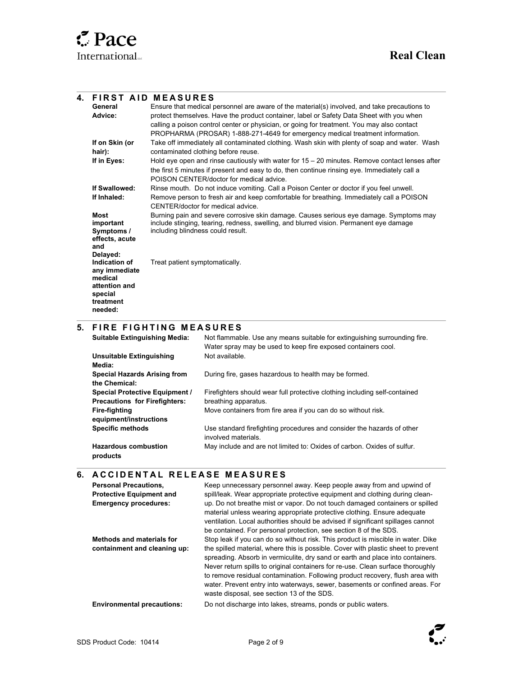$\overline{\phantom{a}}$ 

 $\overline{\phantom{a}}$ 

l

#### **4. FIRST AID MEASURES General Advice:**  Ensure that medical personnel are aware of the material(s) involved, and take precautions to protect themselves. Have the product container, label or Safety Data Sheet with you when calling a poison control center or physician, or going for treatment. You may also contact PROPHARMA (PROSAR) 1-888-271-4649 for emergency medical treatment information. **If on Skin (or hair):** Take off immediately all contaminated clothing. Wash skin with plenty of soap and water. Wash contaminated clothing before reuse. **If in Eyes:** Hold eye open and rinse cautiously with water for 15 – 20 minutes. Remove contact lenses after the first 5 minutes if present and easy to do, then continue rinsing eye. Immediately call a POISON CENTER/doctor for medical advice. **If Swallowed:** Rinse mouth. Do not induce vomiting. Call a Poison Center or doctor if you feel unwell.<br>**If Inhaled:** Remove person to fresh air and keep comfortable for breathing. Immediately call a POIS **If Inhaled:** Remove person to fresh air and keep comfortable for breathing. Immediately call a POISON CENTER/doctor for medical advice. **Most important Symptoms / effects, acute and Delayed:**  Burning pain and severe corrosive skin damage. Causes serious eye damage. Symptoms may include stinging, tearing, redness, swelling, and blurred vision. Permanent eye damage including blindness could result. **Indication of any immediate medical attention and special treatment needed:**  Treat patient symptomatically.

#### **5. FIRE FIGHTING MEASURES**

| <b>Suitable Extinguishing Media:</b>                 | Not flammable. Use any means suitable for extinguishing surrounding fire.<br>Water spray may be used to keep fire exposed containers cool. |
|------------------------------------------------------|--------------------------------------------------------------------------------------------------------------------------------------------|
| <b>Unsuitable Extinguishing</b><br>Media:            | Not available.                                                                                                                             |
| <b>Special Hazards Arising from</b><br>the Chemical: | During fire, gases hazardous to health may be formed.                                                                                      |
| <b>Special Protective Equipment /</b>                | Firefighters should wear full protective clothing including self-contained                                                                 |
| <b>Precautions for Firefighters:</b>                 | breathing apparatus.                                                                                                                       |
| Fire-fighting<br>equipment/instructions              | Move containers from fire area if you can do so without risk.                                                                              |
| <b>Specific methods</b>                              | Use standard firefighting procedures and consider the hazards of other<br>involved materials.                                              |
| <b>Hazardous combustion</b><br>products              | May include and are not limited to: Oxides of carbon. Oxides of sulfur.                                                                    |

### **6. ACCIDENTAL RELEASE MEASURES**

| <b>Personal Precautions.</b><br><b>Protective Equipment and</b><br><b>Emergency procedures:</b> | Keep unnecessary personnel away. Keep people away from and upwind of<br>spill/leak. Wear appropriate protective equipment and clothing during clean-<br>up. Do not breathe mist or vapor. Do not touch damaged containers or spilled<br>material unless wearing appropriate protective clothing. Ensure adequate<br>ventilation. Local authorities should be advised if significant spillages cannot<br>be contained. For personal protection, see section 8 of the SDS.                                                                                  |
|-------------------------------------------------------------------------------------------------|-----------------------------------------------------------------------------------------------------------------------------------------------------------------------------------------------------------------------------------------------------------------------------------------------------------------------------------------------------------------------------------------------------------------------------------------------------------------------------------------------------------------------------------------------------------|
| <b>Methods and materials for</b><br>containment and cleaning up:                                | Stop leak if you can do so without risk. This product is miscible in water. Dike<br>the spilled material, where this is possible. Cover with plastic sheet to prevent<br>spreading. Absorb in vermiculite, dry sand or earth and place into containers.<br>Never return spills to original containers for re-use. Clean surface thoroughly<br>to remove residual contamination. Following product recovery, flush area with<br>water. Prevent entry into waterways, sewer, basements or confined areas. For<br>waste disposal, see section 13 of the SDS. |
| <b>Environmental precautions:</b>                                                               | Do not discharge into lakes, streams, ponds or public waters.                                                                                                                                                                                                                                                                                                                                                                                                                                                                                             |

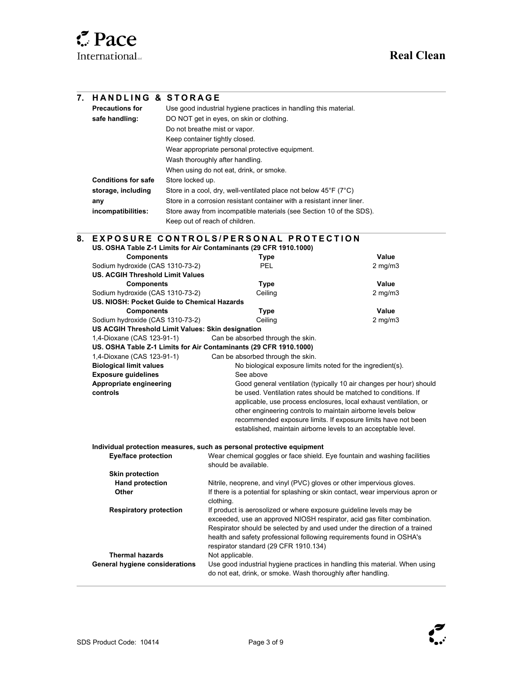| 7. | <b>HANDLING &amp; STORAGE</b>                                                   |                                |                                                                                                                                                          |                                                                     |
|----|---------------------------------------------------------------------------------|--------------------------------|----------------------------------------------------------------------------------------------------------------------------------------------------------|---------------------------------------------------------------------|
|    | <b>Precautions for</b>                                                          |                                | Use good industrial hygiene practices in handling this material.                                                                                         |                                                                     |
|    | safe handling:                                                                  |                                | DO NOT get in eyes, on skin or clothing.                                                                                                                 |                                                                     |
|    |                                                                                 | Do not breathe mist or vapor.  |                                                                                                                                                          |                                                                     |
|    |                                                                                 | Keep container tightly closed. |                                                                                                                                                          |                                                                     |
|    |                                                                                 |                                | Wear appropriate personal protective equipment.                                                                                                          |                                                                     |
|    |                                                                                 |                                | Wash thoroughly after handling.                                                                                                                          |                                                                     |
|    |                                                                                 |                                | When using do not eat, drink, or smoke.                                                                                                                  |                                                                     |
|    | <b>Conditions for safe</b>                                                      | Store locked up.               |                                                                                                                                                          |                                                                     |
|    | storage, including                                                              |                                | Store in a cool, dry, well-ventilated place not below $45^{\circ}F$ (7 $^{\circ}C$ )                                                                     |                                                                     |
|    | any                                                                             |                                | Store in a corrosion resistant container with a resistant inner liner.                                                                                   |                                                                     |
|    | incompatibilities:                                                              |                                | Store away from incompatible materials (see Section 10 of the SDS).                                                                                      |                                                                     |
|    |                                                                                 | Keep out of reach of children. |                                                                                                                                                          |                                                                     |
|    |                                                                                 |                                |                                                                                                                                                          |                                                                     |
| 8. |                                                                                 |                                | <b>EXPOSURE CONTROLS/PERSONAL PROTECTION</b>                                                                                                             |                                                                     |
|    |                                                                                 |                                | US. OSHA Table Z-1 Limits for Air Contaminants (29 CFR 1910.1000)                                                                                        |                                                                     |
|    | <b>Components</b><br>Sodium hydroxide (CAS 1310-73-2)                           |                                | <b>Type</b><br>PEL                                                                                                                                       | Value<br>$2$ mg/m $3$                                               |
|    | <b>US. ACGIH Threshold Limit Values</b>                                         |                                |                                                                                                                                                          |                                                                     |
|    | <b>Components</b>                                                               |                                | <b>Type</b>                                                                                                                                              | Value                                                               |
|    | Sodium hydroxide (CAS 1310-73-2)                                                |                                | Ceiling                                                                                                                                                  | $2$ mg/m $3$                                                        |
|    | US. NIOSH: Pocket Guide to Chemical Hazards                                     |                                |                                                                                                                                                          |                                                                     |
|    | <b>Components</b>                                                               |                                | <b>Type</b>                                                                                                                                              | Value                                                               |
|    | Sodium hydroxide (CAS 1310-73-2)                                                |                                | Ceiling                                                                                                                                                  | $2$ mg/m $3$                                                        |
|    | US ACGIH Threshold Limit Values: Skin designation<br>1,4-Dioxane (CAS 123-91-1) |                                | Can be absorbed through the skin.                                                                                                                        |                                                                     |
|    |                                                                                 |                                | US. OSHA Table Z-1 Limits for Air Contaminants (29 CFR 1910.1000)                                                                                        |                                                                     |
|    | 1,4-Dioxane (CAS 123-91-1)                                                      |                                | Can be absorbed through the skin.                                                                                                                        |                                                                     |
|    | <b>Biological limit values</b>                                                  |                                | No biological exposure limits noted for the ingredient(s).                                                                                               |                                                                     |
|    | <b>Exposure guidelines</b>                                                      |                                | See above                                                                                                                                                |                                                                     |
|    | Appropriate engineering                                                         |                                |                                                                                                                                                          | Good general ventilation (typically 10 air changes per hour) should |
|    | controls                                                                        |                                | be used. Ventilation rates should be matched to conditions. If                                                                                           |                                                                     |
|    |                                                                                 |                                |                                                                                                                                                          | applicable, use process enclosures, local exhaust ventilation, or   |
|    |                                                                                 |                                | other engineering controls to maintain airborne levels below                                                                                             | recommended exposure limits. If exposure limits have not been       |
|    |                                                                                 |                                | established, maintain airborne levels to an acceptable level.                                                                                            |                                                                     |
|    |                                                                                 |                                |                                                                                                                                                          |                                                                     |
|    |                                                                                 |                                | Individual protection measures, such as personal protective equipment                                                                                    |                                                                     |
|    | <b>Eye/face protection</b>                                                      |                                | Wear chemical goggles or face shield. Eye fountain and washing facilities                                                                                |                                                                     |
|    |                                                                                 |                                | should be available.                                                                                                                                     |                                                                     |
|    | <b>Skin protection</b>                                                          |                                |                                                                                                                                                          |                                                                     |
|    | <b>Hand protection</b><br>Other                                                 |                                | Nitrile, neoprene, and vinyl (PVC) gloves or other impervious gloves.<br>If there is a potential for splashing or skin contact, wear impervious apron or |                                                                     |
|    |                                                                                 |                                | clothing.                                                                                                                                                |                                                                     |
|    | <b>Respiratory protection</b>                                                   |                                | If product is aerosolized or where exposure guideline levels may be                                                                                      |                                                                     |
|    |                                                                                 |                                | exceeded, use an approved NIOSH respirator, acid gas filter combination.                                                                                 |                                                                     |
|    |                                                                                 |                                | Respirator should be selected by and used under the direction of a trained                                                                               |                                                                     |
|    |                                                                                 |                                | health and safety professional following requirements found in OSHA's                                                                                    |                                                                     |
|    |                                                                                 |                                | respirator standard (29 CFR 1910.134)                                                                                                                    |                                                                     |
|    | <b>Thermal hazards</b>                                                          |                                | Not applicable.                                                                                                                                          |                                                                     |
|    | <b>General hygiene considerations</b>                                           |                                | Use good industrial hygiene practices in handling this material. When using<br>do not eat, drink, or smoke. Wash thoroughly after handling.              |                                                                     |

 $\overline{a}$ 



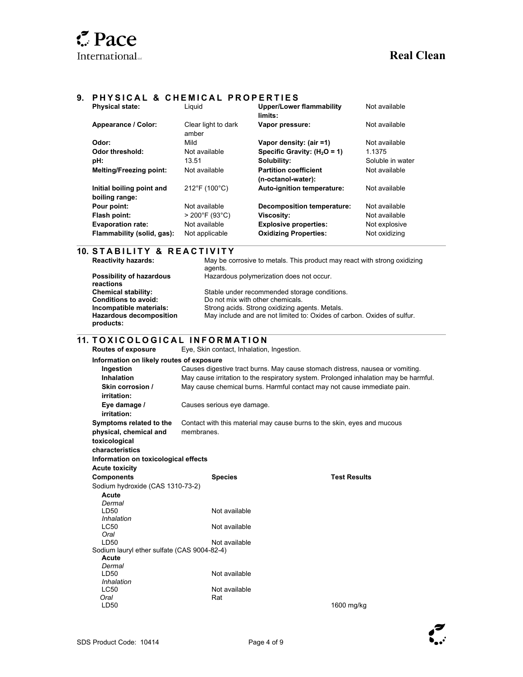#### **9. PHYSICAL & CHEMICAL PROPERTIES**

| <b>Physical state:</b>                      | Liguid                       | <b>Upper/Lower flammability</b><br>limits:         | Not available    |
|---------------------------------------------|------------------------------|----------------------------------------------------|------------------|
| Appearance / Color:                         | Clear light to dark<br>amber | Vapor pressure:                                    | Not available    |
| Odor:                                       | Mild                         | Vapor density: (air =1)                            | Not available    |
| Odor threshold:                             | Not available                | Specific Gravity: $(H2O = 1)$                      | 1.1375           |
| pH:                                         | 13.51                        | Solubility:                                        | Soluble in water |
| <b>Melting/Freezing point:</b>              | Not available                | <b>Partition coefficient</b><br>(n-octanol-water): | Not available    |
| Initial boiling point and<br>boiling range: | 212°F (100°C)                | Auto-ignition temperature:                         | Not available    |
| Pour point:                                 | Not available                | <b>Decomposition temperature:</b>                  | Not available    |
| Flash point:                                | $>$ 200°F (93°C)             | Viscosity:                                         | Not available    |
| <b>Evaporation rate:</b>                    | Not available                | <b>Explosive properties:</b>                       | Not explosive    |
| Flammability (solid, gas):                  | Not applicable               | <b>Oxidizing Properties:</b>                       | Not oxidizing    |

## **10. STABILITY & REACTIVITY**<br>Reactivity hazards: May be co

**Possibility of hazardous** 

 $\overline{a}$ 

 $\overline{a}$ 

May be corrosive to metals. This product may react with strong oxidizing agents.

Hazardous polymerization does not occur.

| reactions                                   |                                                                         |
|---------------------------------------------|-------------------------------------------------------------------------|
| <b>Chemical stability:</b>                  | Stable under recommended storage conditions.                            |
| <b>Conditions to avoid:</b>                 | Do not mix with other chemicals.                                        |
| Incompatible materials:                     | Strong acids. Strong oxidizing agents. Metals.                          |
| <b>Hazardous decomposition</b><br>products: | May include and are not limited to: Oxides of carbon. Oxides of sulfur. |

#### **11. T O X I C O L O G I C A L I N F O R M A T I O N**

**Routes of exposure** Eye, Skin contact, Inhalation, Ingestion. **Information on likely routes of exposure Ingestion** Causes digestive tract burns. May cause stomach distress, nausea or vomiting.  **Inhalation** May cause irritation to the respiratory system. Prolonged inhalation may be harmful.  **Skin corrosion / irritation:**  May cause chemical burns. Harmful contact may not cause immediate pain.  **Eye damage / irritation:**  Causes serious eye damage. **Symptoms related to the physical, chemical and toxicological characteristics**  Contact with this material may cause burns to the skin, eyes and mucous membranes. **Information on toxicological effects Acute toxicity Components Components Species Test Results** Sodium hydroxide (CAS 1310-73-2)  **Acute**  *Dermal*<br>**LD50** Not available *Inhalation*  Not available *Oral*  LD50 Not available Sodium lauryl ether sulfate (CAS 9004-82-4)  **Acute** *Dermal*  **Not available**  *Inhalation*  **Not available**  *Oral* LD50 Rat 1600 mg/kg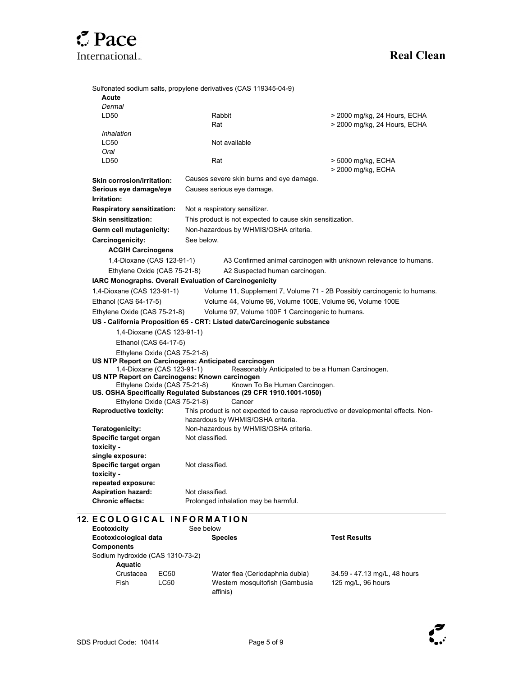

| Sulfonated sodium salts, propylene derivatives (CAS 119345-04-9)<br>Acute      |                               |                                                           |                                                                                   |
|--------------------------------------------------------------------------------|-------------------------------|-----------------------------------------------------------|-----------------------------------------------------------------------------------|
| Dermal                                                                         |                               |                                                           |                                                                                   |
| LD50                                                                           | Rabbit                        |                                                           | > 2000 mg/kg, 24 Hours, ECHA                                                      |
|                                                                                | Rat                           |                                                           | > 2000 mg/kg, 24 Hours, ECHA                                                      |
| Inhalation                                                                     |                               |                                                           |                                                                                   |
| LC50                                                                           | Not available                 |                                                           |                                                                                   |
| Oral                                                                           |                               |                                                           |                                                                                   |
| LD50                                                                           | Rat                           |                                                           | > 5000 mg/kg, ECHA                                                                |
|                                                                                |                               |                                                           | > 2000 mg/kg, ECHA                                                                |
| <b>Skin corrosion/irritation:</b>                                              |                               | Causes severe skin burns and eye damage.                  |                                                                                   |
| Serious eye damage/eye                                                         | Causes serious eye damage.    |                                                           |                                                                                   |
| Irritation:                                                                    |                               |                                                           |                                                                                   |
| <b>Respiratory sensitization:</b>                                              | Not a respiratory sensitizer. |                                                           |                                                                                   |
| <b>Skin sensitization:</b>                                                     |                               | This product is not expected to cause skin sensitization. |                                                                                   |
| Germ cell mutagenicity:                                                        |                               | Non-hazardous by WHMIS/OSHA criteria.                     |                                                                                   |
| Carcinogenicity:                                                               | See below.                    |                                                           |                                                                                   |
| <b>ACGIH Carcinogens</b>                                                       |                               |                                                           |                                                                                   |
| 1,4-Dioxane (CAS 123-91-1)                                                     |                               |                                                           | A3 Confirmed animal carcinogen with unknown relevance to humans.                  |
|                                                                                |                               |                                                           |                                                                                   |
| Ethylene Oxide (CAS 75-21-8)                                                   |                               | A2 Suspected human carcinogen.                            |                                                                                   |
| IARC Monographs. Overall Evaluation of Carcinogenicity                         |                               |                                                           |                                                                                   |
| 1,4-Dioxane (CAS 123-91-1)                                                     |                               |                                                           | Volume 11, Supplement 7, Volume 71 - 2B Possibly carcinogenic to humans.          |
| Ethanol (CAS 64-17-5)                                                          |                               |                                                           | Volume 44, Volume 96, Volume 100E, Volume 96, Volume 100E                         |
| Ethylene Oxide (CAS 75-21-8)                                                   |                               |                                                           | Volume 97, Volume 100F 1 Carcinogenic to humans.                                  |
| US - California Proposition 65 - CRT: Listed date/Carcinogenic substance       |                               |                                                           |                                                                                   |
| 1,4-Dioxane (CAS 123-91-1)                                                     |                               |                                                           |                                                                                   |
| Ethanol (CAS 64-17-5)                                                          |                               |                                                           |                                                                                   |
| Ethylene Oxide (CAS 75-21-8)                                                   |                               |                                                           |                                                                                   |
| US NTP Report on Carcinogens: Anticipated carcinogen                           |                               |                                                           |                                                                                   |
| 1,4-Dioxane (CAS 123-91-1)                                                     |                               |                                                           | Reasonably Anticipated to be a Human Carcinogen.                                  |
| US NTP Report on Carcinogens: Known carcinogen<br>Ethylene Oxide (CAS 75-21-8) |                               | Known To Be Human Carcinogen.                             |                                                                                   |
| US. OSHA Specifically Regulated Substances (29 CFR 1910.1001-1050)             |                               |                                                           |                                                                                   |
| Ethylene Oxide (CAS 75-21-8)                                                   |                               | Cancer                                                    |                                                                                   |
|                                                                                |                               |                                                           |                                                                                   |
|                                                                                |                               |                                                           |                                                                                   |
| <b>Reproductive toxicity:</b>                                                  |                               | hazardous by WHMIS/OSHA criteria.                         | This product is not expected to cause reproductive or developmental effects. Non- |
| Teratogenicity:                                                                |                               | Non-hazardous by WHMIS/OSHA criteria.                     |                                                                                   |
| Specific target organ                                                          | Not classified.               |                                                           |                                                                                   |
| toxicity -                                                                     |                               |                                                           |                                                                                   |
| single exposure:                                                               |                               |                                                           |                                                                                   |
| Specific target organ                                                          | Not classified.               |                                                           |                                                                                   |
| toxicity -                                                                     |                               |                                                           |                                                                                   |
| repeated exposure:                                                             |                               |                                                           |                                                                                   |
| <b>Aspiration hazard:</b><br><b>Chronic effects:</b>                           | Not classified.               | Prolonged inhalation may be harmful.                      |                                                                                   |

| <b>Ecotoxicity</b>               |                  | See below                                  |                              |
|----------------------------------|------------------|--------------------------------------------|------------------------------|
| Ecotoxicological data            |                  | <b>Species</b>                             | <b>Test Results</b>          |
| <b>Components</b>                |                  |                                            |                              |
| Sodium hydroxide (CAS 1310-73-2) |                  |                                            |                              |
| <b>Aquatic</b>                   |                  |                                            |                              |
| Crustacea                        | EC <sub>50</sub> | Water flea (Ceriodaphnia dubia)            | 34.59 - 47.13 mg/L, 48 hours |
| Fish                             | LC50             | Western mosquitofish (Gambusia<br>affinis) | 125 mg/L, 96 hours           |



 $\overline{12}$ .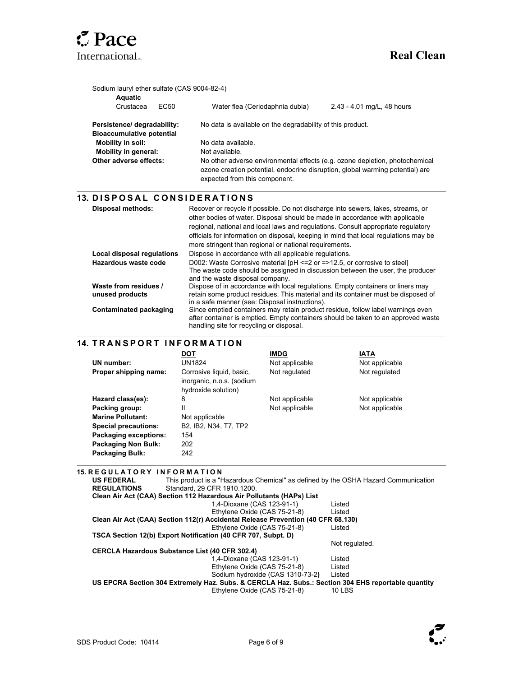

 $\overline{\phantom{a}}$ 

 $\overline{\phantom{a}}$ 

| Sodium lauryl ether sulfate (CAS 9004-82-4)<br>Aquatic          |                                                                                                                                                                                                                                                       |  |  |
|-----------------------------------------------------------------|-------------------------------------------------------------------------------------------------------------------------------------------------------------------------------------------------------------------------------------------------------|--|--|
| Crustacea<br>EC50                                               | Water flea (Ceriodaphnia dubia)<br>2.43 - 4.01 mg/L, 48 hours                                                                                                                                                                                         |  |  |
| Persistence/ degradability:<br><b>Bioaccumulative potential</b> | No data is available on the degradability of this product.                                                                                                                                                                                            |  |  |
| <b>Mobility in soil:</b>                                        | No data available.<br>Not available.<br>No other adverse environmental effects (e.g. ozone depletion, photochemical<br>ozone creation potential, endocrine disruption, global warming potential) are<br>expected from this component.                 |  |  |
| Mobility in general:                                            |                                                                                                                                                                                                                                                       |  |  |
| Other adverse effects:                                          |                                                                                                                                                                                                                                                       |  |  |
| 13. DISPOSAL CONSIDERATIONS                                     |                                                                                                                                                                                                                                                       |  |  |
| <b>Disposal methods:</b>                                        | Recover or recycle if possible. Do not discharge into sewers, lakes, streams, or<br>other bodies of water. Disposal should be made in accordance with applicable<br>regional, national and local laws and regulations. Consult appropriate regulatory |  |  |

|                            | regional, national and local laws and regulations. Consult appropriate regulatory                                 |
|----------------------------|-------------------------------------------------------------------------------------------------------------------|
|                            | officials for information on disposal, keeping in mind that local regulations may be                              |
|                            | more stringent than regional or national requirements.                                                            |
| Local disposal regulations | Dispose in accordance with all applicable regulations.                                                            |
| Hazardous waste code       | D002: Waste Corrosive material [pH <= 2 or = > 12.5, or corrosive to steel]                                       |
|                            | The waste code should be assigned in discussion between the user, the producer<br>and the waste disposal company. |
| Waste from residues /      | Dispose of in accordance with local regulations. Empty containers or liners may                                   |
| unused products            | retain some product residues. This material and its container must be disposed of                                 |
|                            | in a safe manner (see: Disposal instructions).                                                                    |
| Contaminated packaging     | Since emptied containers may retain product residue, follow label warnings even                                   |
|                            | after container is emptied. Empty containers should be taken to an approved waste                                 |
|                            | handling site for recycling or disposal.                                                                          |

#### **14. TRANSPORT INFORMATION**

|                             | DOT                                                                                   | <b>IMDG</b>    | IATA           |
|-----------------------------|---------------------------------------------------------------------------------------|----------------|----------------|
| UN number:                  | UN1824                                                                                | Not applicable | Not applicable |
| Proper shipping name:       | Corrosive liquid, basic,<br>inorganic, n.o.s. (sodium<br>hydroxide solution)          | Not regulated  | Not regulated  |
| Hazard class(es):           | 8                                                                                     | Not applicable | Not applicable |
| Packing group:              | н                                                                                     | Not applicable | Not applicable |
| <b>Marine Pollutant:</b>    | Not applicable                                                                        |                |                |
| <b>Special precautions:</b> | B <sub>2</sub> . IB <sub>2</sub> . N <sub>34</sub> . T <sub>7</sub> . TP <sub>2</sub> |                |                |
| Packaging exceptions:       | 154                                                                                   |                |                |
| <b>Packaging Non Bulk:</b>  | 202                                                                                   |                |                |
| <b>Packaging Bulk:</b>      | 242                                                                                   |                |                |

**15. R E G U L A T O R Y I N F O R M A T I O N US FEDERAL REGULATIONS**  This product is a "Hazardous Chemical" as defined by the OSHA Hazard Communication Standard, 29 CFR 1910.1200. **Clean Air Act (CAA) Section 112 Hazardous Air Pollutants (HAPs) List** 1,4-Dioxane (CAS 123-91-1) Listed Ethylene Oxide (CAS 75-21-8) Listed **Clean Air Act (CAA) Section 112(r) Accidental Release Prevention (40 CFR 68.130)**  Ethylene Oxide (CAS 75-21-8) Listed **TSCA Section 12(b) Export Notification (40 CFR 707, Subpt. D)** Not regulated. **CERCLA Hazardous Substance List (40 CFR 302.4)** 1,4-Dioxane (CAS 123-91-1) Listed Ethylene Oxide (CAS 75-21-8) Listed<br>Sodium hydroxide (CAS 1310-73-2) Listed Sodium hydroxide (CAS 1310-73-2) **US EPCRA Section 304 Extremely Haz. Subs. & CERCLA Haz. Subs.: Section 304 EHS reportable quantity** Ethylene Oxide (CAS 75-21-8) 10 LBS

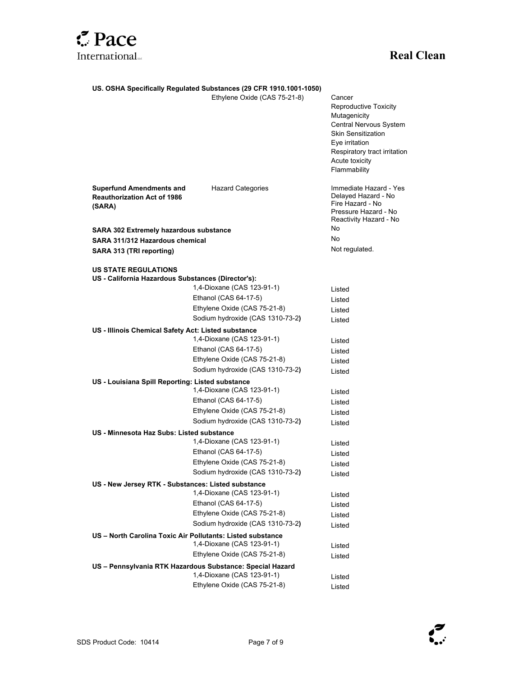

#### **US. OSHA Specifically Regulated Substances (29 CFR 1910.1001-1050)**

Ethylene Oxide (CAS 75-21-8) Cancer

|                                                                                   | Etrivierie Oxide (CAS 75-21-6)                             | Cancer<br><b>Reproductive Toxicity</b><br>Mutagenicity<br>Central Nervous System<br><b>Skin Sensitization</b><br>Eye irritation<br>Respiratory tract irritation<br>Acute toxicity<br>Flammability |
|-----------------------------------------------------------------------------------|------------------------------------------------------------|---------------------------------------------------------------------------------------------------------------------------------------------------------------------------------------------------|
| <b>Superfund Amendments and</b><br><b>Reauthorization Act of 1986</b><br>(SARA)   | <b>Hazard Categories</b>                                   | Immediate Hazard - Yes<br>Delayed Hazard - No<br>Fire Hazard - No<br>Pressure Hazard - No<br>Reactivity Hazard - No                                                                               |
| <b>SARA 302 Extremely hazardous substance</b>                                     |                                                            | No                                                                                                                                                                                                |
| SARA 311/312 Hazardous chemical                                                   |                                                            | No                                                                                                                                                                                                |
| SARA 313 (TRI reporting)                                                          |                                                            | Not regulated.                                                                                                                                                                                    |
| <b>US STATE REGULATIONS</b><br>US - California Hazardous Substances (Director's): |                                                            |                                                                                                                                                                                                   |
|                                                                                   | 1,4-Dioxane (CAS 123-91-1)                                 | Listed                                                                                                                                                                                            |
|                                                                                   | Ethanol (CAS 64-17-5)                                      | Listed                                                                                                                                                                                            |
|                                                                                   | Ethylene Oxide (CAS 75-21-8)                               | Listed                                                                                                                                                                                            |
|                                                                                   | Sodium hydroxide (CAS 1310-73-2)                           | Listed                                                                                                                                                                                            |
| US - Illinois Chemical Safety Act: Listed substance                               |                                                            |                                                                                                                                                                                                   |
|                                                                                   | 1,4-Dioxane (CAS 123-91-1)                                 | Listed                                                                                                                                                                                            |
|                                                                                   | Ethanol (CAS 64-17-5)                                      | Listed                                                                                                                                                                                            |
|                                                                                   | Ethylene Oxide (CAS 75-21-8)                               | Listed                                                                                                                                                                                            |
|                                                                                   | Sodium hydroxide (CAS 1310-73-2)                           | Listed                                                                                                                                                                                            |
| US - Louisiana Spill Reporting: Listed substance                                  |                                                            |                                                                                                                                                                                                   |
|                                                                                   | 1,4-Dioxane (CAS 123-91-1)                                 | Listed                                                                                                                                                                                            |
|                                                                                   | Ethanol (CAS 64-17-5)                                      | Listed                                                                                                                                                                                            |
|                                                                                   | Ethylene Oxide (CAS 75-21-8)                               | Listed                                                                                                                                                                                            |
|                                                                                   | Sodium hydroxide (CAS 1310-73-2)                           | Listed                                                                                                                                                                                            |
| US - Minnesota Haz Subs: Listed substance                                         |                                                            |                                                                                                                                                                                                   |
|                                                                                   | 1,4-Dioxane (CAS 123-91-1)                                 | Listed                                                                                                                                                                                            |
|                                                                                   | Ethanol (CAS 64-17-5)                                      | Listed                                                                                                                                                                                            |
|                                                                                   | Ethylene Oxide (CAS 75-21-8)                               | Listed                                                                                                                                                                                            |
|                                                                                   | Sodium hydroxide (CAS 1310-73-2)                           | Listed                                                                                                                                                                                            |
| US - New Jersey RTK - Substances: Listed substance                                | 1,4-Dioxane (CAS 123-91-1)                                 |                                                                                                                                                                                                   |
|                                                                                   | Ethanol (CAS 64-17-5)                                      | Listed                                                                                                                                                                                            |
|                                                                                   |                                                            | Listed                                                                                                                                                                                            |
|                                                                                   | Ethylene Oxide (CAS 75-21-8)                               | Listed                                                                                                                                                                                            |
|                                                                                   | Sodium hydroxide (CAS 1310-73-2)                           | Listed                                                                                                                                                                                            |
|                                                                                   | US - North Carolina Toxic Air Pollutants: Listed substance |                                                                                                                                                                                                   |
|                                                                                   | 1,4-Dioxane (CAS 123-91-1)                                 | Listed                                                                                                                                                                                            |
|                                                                                   | Ethylene Oxide (CAS 75-21-8)                               | Listed                                                                                                                                                                                            |
|                                                                                   | US – Pennsylvania RTK Hazardous Substance: Special Hazard  |                                                                                                                                                                                                   |
|                                                                                   | 1,4-Dioxane (CAS 123-91-1)                                 | Listed                                                                                                                                                                                            |
|                                                                                   | Ethylene Oxide (CAS 75-21-8)                               | Listed                                                                                                                                                                                            |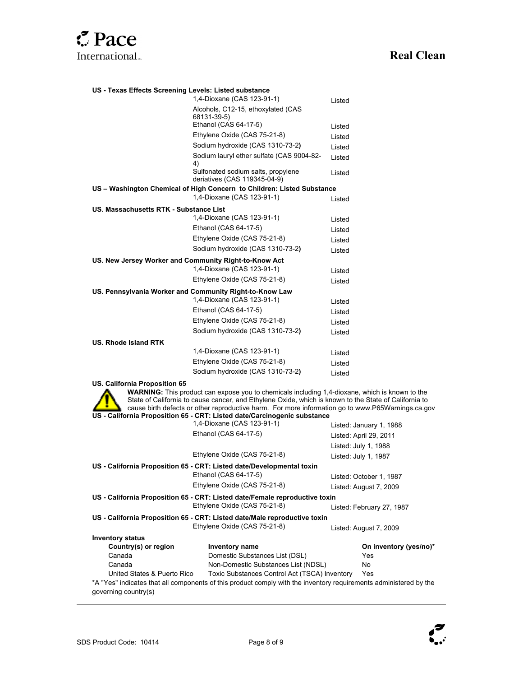

| US - Texas Effects Screening Levels: Listed substance |                                                                        |        |  |
|-------------------------------------------------------|------------------------------------------------------------------------|--------|--|
|                                                       | 1,4-Dioxane (CAS 123-91-1)                                             | Listed |  |
|                                                       | Alcohols, C12-15, ethoxylated (CAS<br>68131-39-5)                      |        |  |
|                                                       | Ethanol (CAS 64-17-5)                                                  | Listed |  |
|                                                       | Ethylene Oxide (CAS 75-21-8)                                           | Listed |  |
|                                                       | Sodium hydroxide (CAS 1310-73-2)                                       | Listed |  |
|                                                       | Sodium lauryl ether sulfate (CAS 9004-82-<br>4)                        | Listed |  |
|                                                       | Sulfonated sodium salts, propylene<br>deriatives (CAS 119345-04-9)     | Listed |  |
|                                                       | US - Washington Chemical of High Concern to Children: Listed Substance |        |  |
|                                                       | 1,4-Dioxane (CAS 123-91-1)                                             | Listed |  |
| US. Massachusetts RTK - Substance List                |                                                                        |        |  |
|                                                       | 1,4-Dioxane (CAS 123-91-1)                                             | Listed |  |
|                                                       | Ethanol (CAS 64-17-5)                                                  | Listed |  |
|                                                       | Ethylene Oxide (CAS 75-21-8)                                           | Listed |  |
|                                                       | Sodium hydroxide (CAS 1310-73-2)                                       | Listed |  |
| US. New Jersey Worker and Community Right-to-Know Act |                                                                        |        |  |
|                                                       | 1,4-Dioxane (CAS 123-91-1)                                             | Listed |  |
|                                                       | Ethylene Oxide (CAS 75-21-8)                                           | Listed |  |
|                                                       | US. Pennsylvania Worker and Community Right-to-Know Law                |        |  |
|                                                       | 1,4-Dioxane (CAS 123-91-1)                                             | Listed |  |
|                                                       | Ethanol (CAS 64-17-5)                                                  | Listed |  |
|                                                       | Ethylene Oxide (CAS 75-21-8)                                           | Listed |  |
|                                                       | Sodium hydroxide (CAS 1310-73-2)                                       | Listed |  |
| <b>US. Rhode Island RTK</b>                           |                                                                        |        |  |
|                                                       | 1,4-Dioxane (CAS 123-91-1)                                             | Listed |  |
|                                                       | Ethylene Oxide (CAS 75-21-8)                                           | Listed |  |
|                                                       | Sodium hydroxide (CAS 1310-73-2)                                       | Listed |  |

**US. California Proposition 65**



**WARNING:** This product can expose you to chemicals including 1,4-dioxane, which is known to the State of California to cause cancer, and Ethylene Oxide, which is known to the State of California to cause birth defects or other reproductive harm. For more information go to www.P65Warnings.ca.gov **US - California Proposition 65 - CRT: Listed date/Carcinogenic substance**

|                                                                              | 1,4-Dioxane (CAS 123-91-1)                                                                                        | Listed: January 1, 1988   |  |  |
|------------------------------------------------------------------------------|-------------------------------------------------------------------------------------------------------------------|---------------------------|--|--|
|                                                                              | Ethanol (CAS 64-17-5)                                                                                             | Listed: April 29, 2011    |  |  |
|                                                                              |                                                                                                                   | Listed: July 1, 1988      |  |  |
|                                                                              | Ethylene Oxide (CAS 75-21-8)                                                                                      | Listed: July 1, 1987      |  |  |
| US - California Proposition 65 - CRT: Listed date/Developmental toxin        |                                                                                                                   |                           |  |  |
|                                                                              | Ethanol (CAS 64-17-5)                                                                                             | Listed: October 1, 1987   |  |  |
|                                                                              | Ethylene Oxide (CAS 75-21-8)                                                                                      | Listed: August 7, 2009    |  |  |
| US - California Proposition 65 - CRT: Listed date/Female reproductive toxin  |                                                                                                                   |                           |  |  |
|                                                                              | Ethylene Oxide (CAS 75-21-8)                                                                                      | Listed: February 27, 1987 |  |  |
| US - California Proposition 65 - CRT: Listed date/Male reproductive toxin    |                                                                                                                   |                           |  |  |
|                                                                              | Ethylene Oxide (CAS 75-21-8)                                                                                      |                           |  |  |
| <b>Inventory status</b>                                                      |                                                                                                                   |                           |  |  |
| Country(s) or region                                                         | <b>Inventory name</b>                                                                                             | On inventory (yes/no)*    |  |  |
| Canada                                                                       | Domestic Substances List (DSL)                                                                                    | Yes                       |  |  |
| Canada                                                                       | Non-Domestic Substances List (NDSL)                                                                               | No.                       |  |  |
| Toxic Substances Control Act (TSCA) Inventory<br>United States & Puerto Rico |                                                                                                                   | Yes                       |  |  |
| governing country(s)                                                         | *A "Yes" indicates that all components of this product comply with the inventory requirements administered by the |                           |  |  |



l